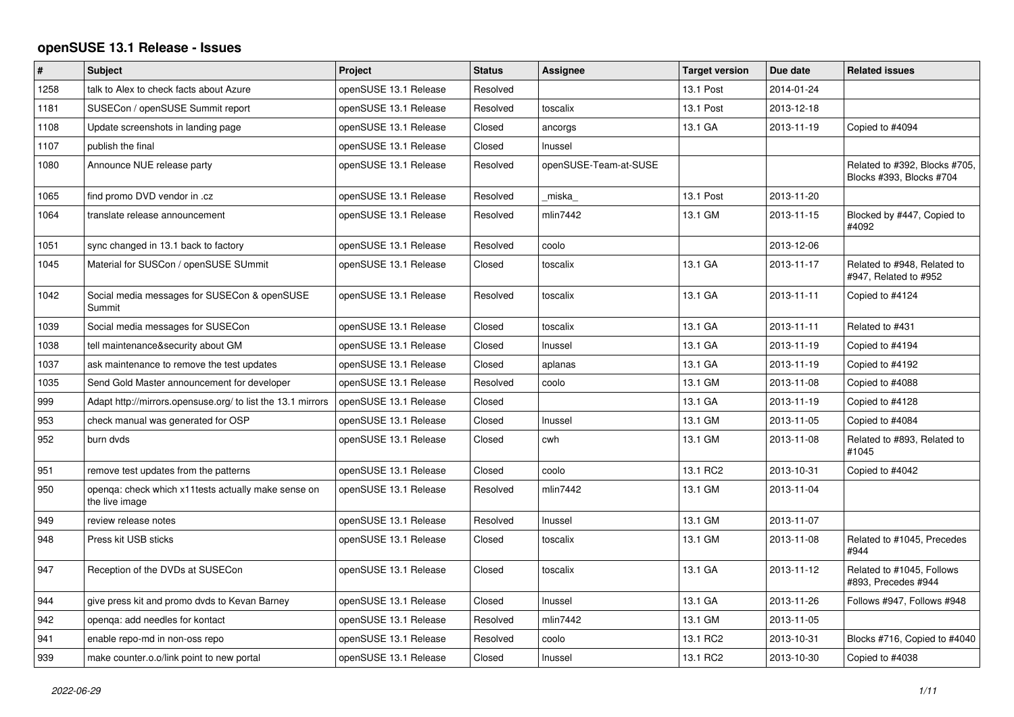## **openSUSE 13.1 Release - Issues**

| $\vert$ # | Subject                                                               | Project               | <b>Status</b> | Assignee              | <b>Target version</b> | Due date   | <b>Related issues</b>                                     |
|-----------|-----------------------------------------------------------------------|-----------------------|---------------|-----------------------|-----------------------|------------|-----------------------------------------------------------|
| 1258      | talk to Alex to check facts about Azure                               | openSUSE 13.1 Release | Resolved      |                       | 13.1 Post             | 2014-01-24 |                                                           |
| 1181      | SUSECon / openSUSE Summit report                                      | openSUSE 13.1 Release | Resolved      | toscalix              | 13.1 Post             | 2013-12-18 |                                                           |
| 1108      | Update screenshots in landing page                                    | openSUSE 13.1 Release | Closed        | ancorgs               | 13.1 GA               | 2013-11-19 | Copied to #4094                                           |
| 1107      | publish the final                                                     | openSUSE 13.1 Release | Closed        | Inussel               |                       |            |                                                           |
| 1080      | Announce NUE release party                                            | openSUSE 13.1 Release | Resolved      | openSUSE-Team-at-SUSE |                       |            | Related to #392, Blocks #705,<br>Blocks #393, Blocks #704 |
| 1065      | find promo DVD vendor in .cz                                          | openSUSE 13.1 Release | Resolved      | miska                 | 13.1 Post             | 2013-11-20 |                                                           |
| 1064      | translate release announcement                                        | openSUSE 13.1 Release | Resolved      | mlin7442              | 13.1 GM               | 2013-11-15 | Blocked by #447, Copied to<br>#4092                       |
| 1051      | sync changed in 13.1 back to factory                                  | openSUSE 13.1 Release | Resolved      | coolo                 |                       | 2013-12-06 |                                                           |
| 1045      | Material for SUSCon / openSUSE SUmmit                                 | openSUSE 13.1 Release | Closed        | toscalix              | 13.1 GA               | 2013-11-17 | Related to #948, Related to<br>#947, Related to #952      |
| 1042      | Social media messages for SUSECon & openSUSE<br>Summit                | openSUSE 13.1 Release | Resolved      | toscalix              | 13.1 GA               | 2013-11-11 | Copied to #4124                                           |
| 1039      | Social media messages for SUSECon                                     | openSUSE 13.1 Release | Closed        | toscalix              | 13.1 GA               | 2013-11-11 | Related to #431                                           |
| 1038      | tell maintenance&security about GM                                    | openSUSE 13.1 Release | Closed        | Inussel               | 13.1 GA               | 2013-11-19 | Copied to #4194                                           |
| 1037      | ask maintenance to remove the test updates                            | openSUSE 13.1 Release | Closed        | aplanas               | 13.1 GA               | 2013-11-19 | Copied to #4192                                           |
| 1035      | Send Gold Master announcement for developer                           | openSUSE 13.1 Release | Resolved      | coolo                 | 13.1 GM               | 2013-11-08 | Copied to #4088                                           |
| 999       | Adapt http://mirrors.opensuse.org/ to list the 13.1 mirrors           | openSUSE 13.1 Release | Closed        |                       | 13.1 GA               | 2013-11-19 | Copied to #4128                                           |
| 953       | check manual was generated for OSP                                    | openSUSE 13.1 Release | Closed        | Inussel               | 13.1 GM               | 2013-11-05 | Copied to #4084                                           |
| 952       | burn dvds                                                             | openSUSE 13.1 Release | Closed        | cwh                   | 13.1 GM               | 2013-11-08 | Related to #893, Related to<br>#1045                      |
| 951       | remove test updates from the patterns                                 | openSUSE 13.1 Release | Closed        | coolo                 | 13.1 RC2              | 2013-10-31 | Copied to #4042                                           |
| 950       | openqa: check which x11tests actually make sense on<br>the live image | openSUSE 13.1 Release | Resolved      | mlin7442              | 13.1 GM               | 2013-11-04 |                                                           |
| 949       | review release notes                                                  | openSUSE 13.1 Release | Resolved      | Inussel               | 13.1 GM               | 2013-11-07 |                                                           |
| 948       | Press kit USB sticks                                                  | openSUSE 13.1 Release | Closed        | toscalix              | 13.1 GM               | 2013-11-08 | Related to #1045, Precedes<br>#944                        |
| 947       | Reception of the DVDs at SUSECon                                      | openSUSE 13.1 Release | Closed        | toscalix              | 13.1 GA               | 2013-11-12 | Related to #1045, Follows<br>#893, Precedes #944          |
| 944       | give press kit and promo dvds to Kevan Barney                         | openSUSE 13.1 Release | Closed        | Inussel               | 13.1 GA               | 2013-11-26 | Follows #947, Follows #948                                |
| 942       | openga: add needles for kontact                                       | openSUSE 13.1 Release | Resolved      | mlin7442              | 13.1 GM               | 2013-11-05 |                                                           |
| 941       | enable repo-md in non-oss repo                                        | openSUSE 13.1 Release | Resolved      | coolo                 | 13.1 RC2              | 2013-10-31 | Blocks #716, Copied to #4040                              |
| 939       | make counter.o.o/link point to new portal                             | openSUSE 13.1 Release | Closed        | Inussel               | 13.1 RC2              | 2013-10-30 | Copied to #4038                                           |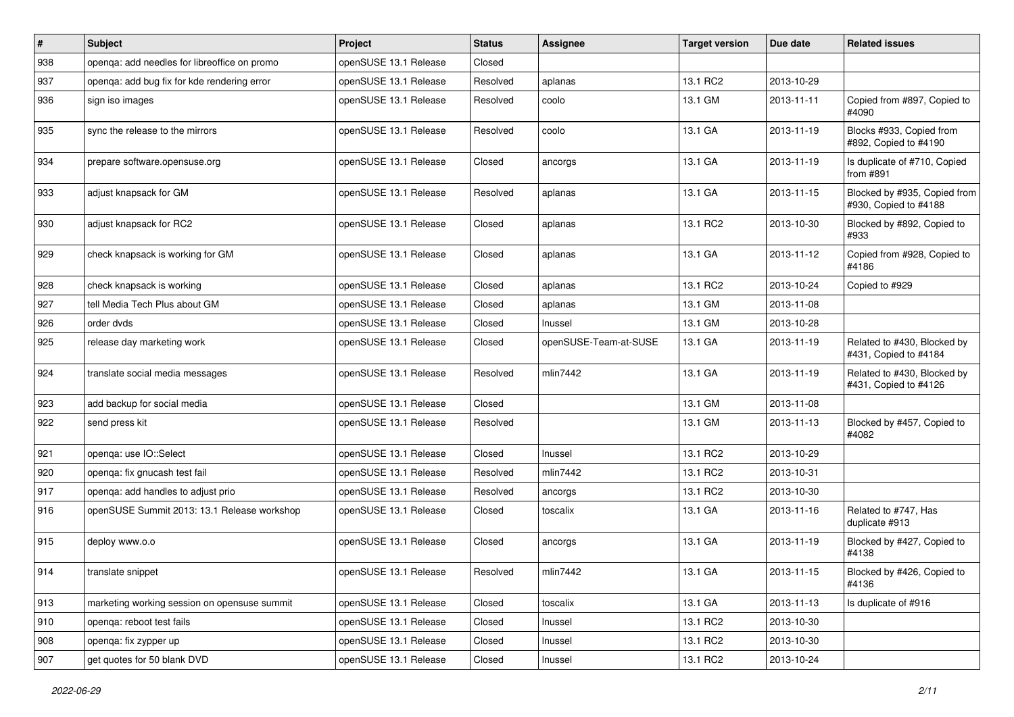| $\vert$ # | <b>Subject</b>                               | Project               | <b>Status</b> | Assignee              | <b>Target version</b> | Due date   | <b>Related issues</b>                                 |
|-----------|----------------------------------------------|-----------------------|---------------|-----------------------|-----------------------|------------|-------------------------------------------------------|
| 938       | openga: add needles for libreoffice on promo | openSUSE 13.1 Release | Closed        |                       |                       |            |                                                       |
| 937       | openga: add bug fix for kde rendering error  | openSUSE 13.1 Release | Resolved      | aplanas               | 13.1 RC2              | 2013-10-29 |                                                       |
| 936       | sign iso images                              | openSUSE 13.1 Release | Resolved      | coolo                 | 13.1 GM               | 2013-11-11 | Copied from #897, Copied to<br>#4090                  |
| 935       | sync the release to the mirrors              | openSUSE 13.1 Release | Resolved      | coolo                 | 13.1 GA               | 2013-11-19 | Blocks #933, Copied from<br>#892, Copied to #4190     |
| 934       | prepare software.opensuse.org                | openSUSE 13.1 Release | Closed        | ancorgs               | 13.1 GA               | 2013-11-19 | Is duplicate of #710, Copied<br>from #891             |
| 933       | adjust knapsack for GM                       | openSUSE 13.1 Release | Resolved      | aplanas               | 13.1 GA               | 2013-11-15 | Blocked by #935, Copied from<br>#930, Copied to #4188 |
| 930       | adjust knapsack for RC2                      | openSUSE 13.1 Release | Closed        | aplanas               | 13.1 RC2              | 2013-10-30 | Blocked by #892, Copied to<br>#933                    |
| 929       | check knapsack is working for GM             | openSUSE 13.1 Release | Closed        | aplanas               | 13.1 GA               | 2013-11-12 | Copied from #928, Copied to<br>#4186                  |
| 928       | check knapsack is working                    | openSUSE 13.1 Release | Closed        | aplanas               | 13.1 RC2              | 2013-10-24 | Copied to #929                                        |
| 927       | tell Media Tech Plus about GM                | openSUSE 13.1 Release | Closed        | aplanas               | 13.1 GM               | 2013-11-08 |                                                       |
| 926       | order dvds                                   | openSUSE 13.1 Release | Closed        | Inussel               | 13.1 GM               | 2013-10-28 |                                                       |
| 925       | release day marketing work                   | openSUSE 13.1 Release | Closed        | openSUSE-Team-at-SUSE | 13.1 GA               | 2013-11-19 | Related to #430, Blocked by<br>#431, Copied to #4184  |
| 924       | translate social media messages              | openSUSE 13.1 Release | Resolved      | mlin7442              | 13.1 GA               | 2013-11-19 | Related to #430, Blocked by<br>#431, Copied to #4126  |
| 923       | add backup for social media                  | openSUSE 13.1 Release | Closed        |                       | 13.1 GM               | 2013-11-08 |                                                       |
| 922       | send press kit                               | openSUSE 13.1 Release | Resolved      |                       | 13.1 GM               | 2013-11-13 | Blocked by #457, Copied to<br>#4082                   |
| 921       | openga: use IO::Select                       | openSUSE 13.1 Release | Closed        | Inussel               | 13.1 RC2              | 2013-10-29 |                                                       |
| 920       | openqa: fix gnucash test fail                | openSUSE 13.1 Release | Resolved      | mlin7442              | 13.1 RC2              | 2013-10-31 |                                                       |
| 917       | openga: add handles to adjust prio           | openSUSE 13.1 Release | Resolved      | ancorgs               | 13.1 RC2              | 2013-10-30 |                                                       |
| 916       | openSUSE Summit 2013: 13.1 Release workshop  | openSUSE 13.1 Release | Closed        | toscalix              | 13.1 GA               | 2013-11-16 | Related to #747, Has<br>duplicate #913                |
| 915       | deploy www.o.o                               | openSUSE 13.1 Release | Closed        | ancorgs               | 13.1 GA               | 2013-11-19 | Blocked by #427, Copied to<br>#4138                   |
| 914       | translate snippet                            | openSUSE 13.1 Release | Resolved      | mlin7442              | 13.1 GA               | 2013-11-15 | Blocked by #426, Copied to<br>#4136                   |
| 913       | marketing working session on opensuse summit | openSUSE 13.1 Release | Closed        | toscalix              | 13.1 GA               | 2013-11-13 | Is duplicate of #916                                  |
| 910       | openga: reboot test fails                    | openSUSE 13.1 Release | Closed        | Inussel               | 13.1 RC2              | 2013-10-30 |                                                       |
| 908       | openqa: fix zypper up                        | openSUSE 13.1 Release | Closed        | Inussel               | 13.1 RC2              | 2013-10-30 |                                                       |
| 907       | get quotes for 50 blank DVD                  | openSUSE 13.1 Release | Closed        | Inussel               | 13.1 RC2              | 2013-10-24 |                                                       |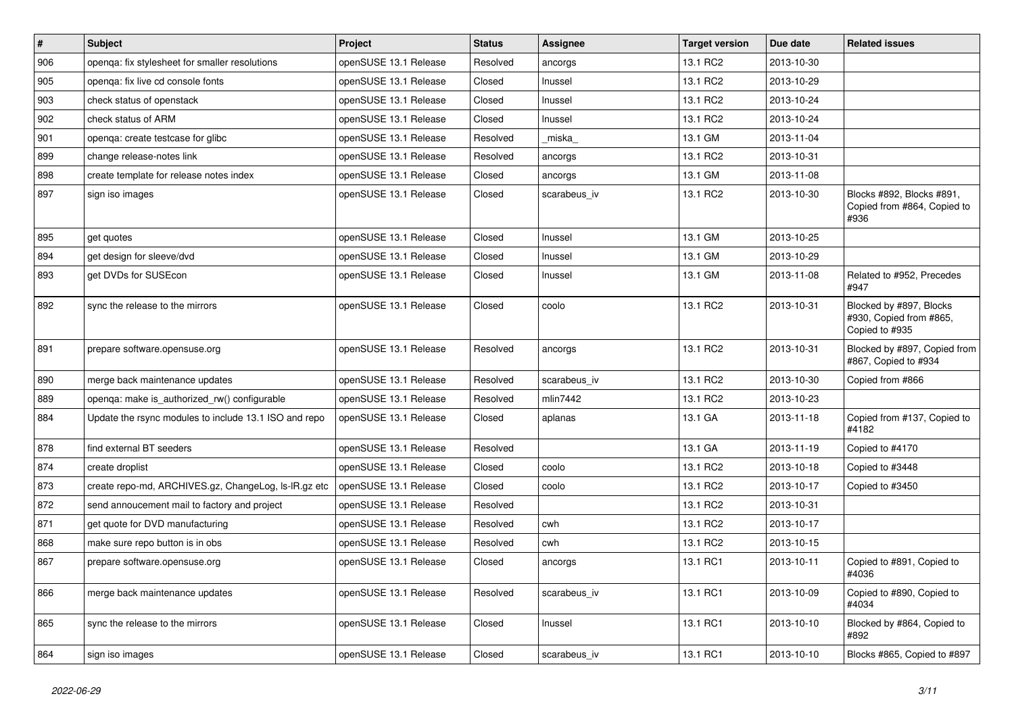| $\vert$ # | <b>Subject</b>                                        | Project               | <b>Status</b> | Assignee     | <b>Target version</b> | Due date   | <b>Related issues</b>                                                |
|-----------|-------------------------------------------------------|-----------------------|---------------|--------------|-----------------------|------------|----------------------------------------------------------------------|
| 906       | openqa: fix stylesheet for smaller resolutions        | openSUSE 13.1 Release | Resolved      | ancorgs      | 13.1 RC2              | 2013-10-30 |                                                                      |
| 905       | openga: fix live cd console fonts                     | openSUSE 13.1 Release | Closed        | Inussel      | 13.1 RC2              | 2013-10-29 |                                                                      |
| 903       | check status of openstack                             | openSUSE 13.1 Release | Closed        | Inussel      | 13.1 RC2              | 2013-10-24 |                                                                      |
| 902       | check status of ARM                                   | openSUSE 13.1 Release | Closed        | Inussel      | 13.1 RC2              | 2013-10-24 |                                                                      |
| 901       | openqa: create testcase for glibc                     | openSUSE 13.1 Release | Resolved      | _miska_      | 13.1 GM               | 2013-11-04 |                                                                      |
| 899       | change release-notes link                             | openSUSE 13.1 Release | Resolved      | ancorgs      | 13.1 RC2              | 2013-10-31 |                                                                      |
| 898       | create template for release notes index               | openSUSE 13.1 Release | Closed        | ancorgs      | 13.1 GM               | 2013-11-08 |                                                                      |
| 897       | sign iso images                                       | openSUSE 13.1 Release | Closed        | scarabeus iv | 13.1 RC2              | 2013-10-30 | Blocks #892, Blocks #891,<br>Copied from #864, Copied to<br>#936     |
| 895       | get quotes                                            | openSUSE 13.1 Release | Closed        | Inussel      | 13.1 GM               | 2013-10-25 |                                                                      |
| 894       | get design for sleeve/dvd                             | openSUSE 13.1 Release | Closed        | Inussel      | 13.1 GM               | 2013-10-29 |                                                                      |
| 893       | get DVDs for SUSEcon                                  | openSUSE 13.1 Release | Closed        | Inussel      | 13.1 GM               | 2013-11-08 | Related to #952, Precedes<br>#947                                    |
| 892       | sync the release to the mirrors                       | openSUSE 13.1 Release | Closed        | coolo        | 13.1 RC2              | 2013-10-31 | Blocked by #897, Blocks<br>#930, Copied from #865,<br>Copied to #935 |
| 891       | prepare software.opensuse.org                         | openSUSE 13.1 Release | Resolved      | ancorgs      | 13.1 RC2              | 2013-10-31 | Blocked by #897, Copied from<br>#867, Copied to #934                 |
| 890       | merge back maintenance updates                        | openSUSE 13.1 Release | Resolved      | scarabeus iv | 13.1 RC2              | 2013-10-30 | Copied from #866                                                     |
| 889       | openga: make is authorized rw() configurable          | openSUSE 13.1 Release | Resolved      | mlin7442     | 13.1 RC2              | 2013-10-23 |                                                                      |
| 884       | Update the rsync modules to include 13.1 ISO and repo | openSUSE 13.1 Release | Closed        | aplanas      | 13.1 GA               | 2013-11-18 | Copied from #137, Copied to<br>#4182                                 |
| 878       | find external BT seeders                              | openSUSE 13.1 Release | Resolved      |              | 13.1 GA               | 2013-11-19 | Copied to #4170                                                      |
| 874       | create droplist                                       | openSUSE 13.1 Release | Closed        | coolo        | 13.1 RC2              | 2013-10-18 | Copied to #3448                                                      |
| 873       | create repo-md, ARCHIVES.gz, ChangeLog, Is-IR.gz etc  | openSUSE 13.1 Release | Closed        | coolo        | 13.1 RC2              | 2013-10-17 | Copied to #3450                                                      |
| 872       | send annoucement mail to factory and project          | openSUSE 13.1 Release | Resolved      |              | 13.1 RC2              | 2013-10-31 |                                                                      |
| 871       | get quote for DVD manufacturing                       | openSUSE 13.1 Release | Resolved      | cwh          | 13.1 RC2              | 2013-10-17 |                                                                      |
| 868       | make sure repo button is in obs                       | openSUSE 13.1 Release | Resolved      | cwh          | 13.1 RC2              | 2013-10-15 |                                                                      |
| 867       | prepare software.opensuse.org                         | openSUSE 13.1 Release | Closed        | ancorgs      | 13.1 RC1              | 2013-10-11 | Copied to #891, Copied to<br>#4036                                   |
| 866       | merge back maintenance updates                        | openSUSE 13.1 Release | Resolved      | scarabeus_iv | 13.1 RC1              | 2013-10-09 | Copied to #890, Copied to<br>#4034                                   |
| 865       | sync the release to the mirrors                       | openSUSE 13.1 Release | Closed        | Inussel      | 13.1 RC1              | 2013-10-10 | Blocked by #864, Copied to<br>#892                                   |
| 864       | sign iso images                                       | openSUSE 13.1 Release | Closed        | scarabeus_iv | 13.1 RC1              | 2013-10-10 | Blocks #865, Copied to #897                                          |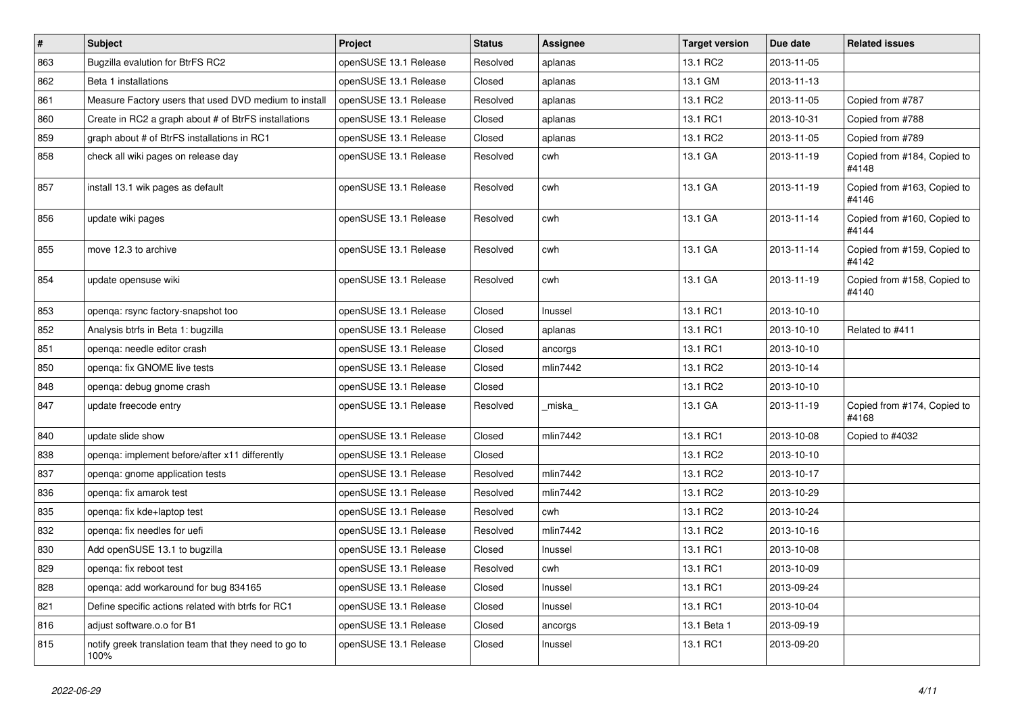| $\#$ | Subject                                                       | Project               | <b>Status</b> | Assignee | Target version | Due date   | <b>Related issues</b>                |
|------|---------------------------------------------------------------|-----------------------|---------------|----------|----------------|------------|--------------------------------------|
| 863  | Bugzilla evalution for BtrFS RC2                              | openSUSE 13.1 Release | Resolved      | aplanas  | 13.1 RC2       | 2013-11-05 |                                      |
| 862  | Beta 1 installations                                          | openSUSE 13.1 Release | Closed        | aplanas  | 13.1 GM        | 2013-11-13 |                                      |
| 861  | Measure Factory users that used DVD medium to install         | openSUSE 13.1 Release | Resolved      | aplanas  | 13.1 RC2       | 2013-11-05 | Copied from #787                     |
| 860  | Create in RC2 a graph about # of BtrFS installations          | openSUSE 13.1 Release | Closed        | aplanas  | 13.1 RC1       | 2013-10-31 | Copied from #788                     |
| 859  | graph about # of BtrFS installations in RC1                   | openSUSE 13.1 Release | Closed        | aplanas  | 13.1 RC2       | 2013-11-05 | Copied from #789                     |
| 858  | check all wiki pages on release day                           | openSUSE 13.1 Release | Resolved      | cwh      | 13.1 GA        | 2013-11-19 | Copied from #184, Copied to<br>#4148 |
| 857  | install 13.1 wik pages as default                             | openSUSE 13.1 Release | Resolved      | cwh      | 13.1 GA        | 2013-11-19 | Copied from #163, Copied to<br>#4146 |
| 856  | update wiki pages                                             | openSUSE 13.1 Release | Resolved      | cwh      | 13.1 GA        | 2013-11-14 | Copied from #160, Copied to<br>#4144 |
| 855  | move 12.3 to archive                                          | openSUSE 13.1 Release | Resolved      | cwh      | 13.1 GA        | 2013-11-14 | Copied from #159, Copied to<br>#4142 |
| 854  | update opensuse wiki                                          | openSUSE 13.1 Release | Resolved      | cwh      | 13.1 GA        | 2013-11-19 | Copied from #158, Copied to<br>#4140 |
| 853  | openqa: rsync factory-snapshot too                            | openSUSE 13.1 Release | Closed        | Inussel  | 13.1 RC1       | 2013-10-10 |                                      |
| 852  | Analysis btrfs in Beta 1: bugzilla                            | openSUSE 13.1 Release | Closed        | aplanas  | 13.1 RC1       | 2013-10-10 | Related to #411                      |
| 851  | openga: needle editor crash                                   | openSUSE 13.1 Release | Closed        | ancorgs  | 13.1 RC1       | 2013-10-10 |                                      |
| 850  | openga: fix GNOME live tests                                  | openSUSE 13.1 Release | Closed        | mlin7442 | 13.1 RC2       | 2013-10-14 |                                      |
| 848  | openqa: debug gnome crash                                     | openSUSE 13.1 Release | Closed        |          | 13.1 RC2       | 2013-10-10 |                                      |
| 847  | update freecode entry                                         | openSUSE 13.1 Release | Resolved      | miska    | 13.1 GA        | 2013-11-19 | Copied from #174, Copied to<br>#4168 |
| 840  | update slide show                                             | openSUSE 13.1 Release | Closed        | mlin7442 | 13.1 RC1       | 2013-10-08 | Copied to #4032                      |
| 838  | openga: implement before/after x11 differently                | openSUSE 13.1 Release | Closed        |          | 13.1 RC2       | 2013-10-10 |                                      |
| 837  | openqa: gnome application tests                               | openSUSE 13.1 Release | Resolved      | mlin7442 | 13.1 RC2       | 2013-10-17 |                                      |
| 836  | openga: fix amarok test                                       | openSUSE 13.1 Release | Resolved      | mlin7442 | 13.1 RC2       | 2013-10-29 |                                      |
| 835  | openga: fix kde+laptop test                                   | openSUSE 13.1 Release | Resolved      | cwh      | 13.1 RC2       | 2013-10-24 |                                      |
| 832  | openqa: fix needles for uefi                                  | openSUSE 13.1 Release | Resolved      | mlin7442 | 13.1 RC2       | 2013-10-16 |                                      |
| 830  | Add openSUSE 13.1 to bugzilla                                 | openSUSE 13.1 Release | Closed        | Inussel  | 13.1 RC1       | 2013-10-08 |                                      |
| 829  | openqa: fix reboot test                                       | openSUSE 13.1 Release | Resolved      | cwh      | 13.1 RC1       | 2013-10-09 |                                      |
| 828  | openga: add workaround for bug 834165                         | openSUSE 13.1 Release | Closed        | Inussel  | 13.1 RC1       | 2013-09-24 |                                      |
| 821  | Define specific actions related with btrfs for RC1            | openSUSE 13.1 Release | Closed        | Inussel  | 13.1 RC1       | 2013-10-04 |                                      |
| 816  | adjust software.o.o for B1                                    | openSUSE 13.1 Release | Closed        | ancorgs  | 13.1 Beta 1    | 2013-09-19 |                                      |
| 815  | notify greek translation team that they need to go to<br>100% | openSUSE 13.1 Release | Closed        | Inussel  | 13.1 RC1       | 2013-09-20 |                                      |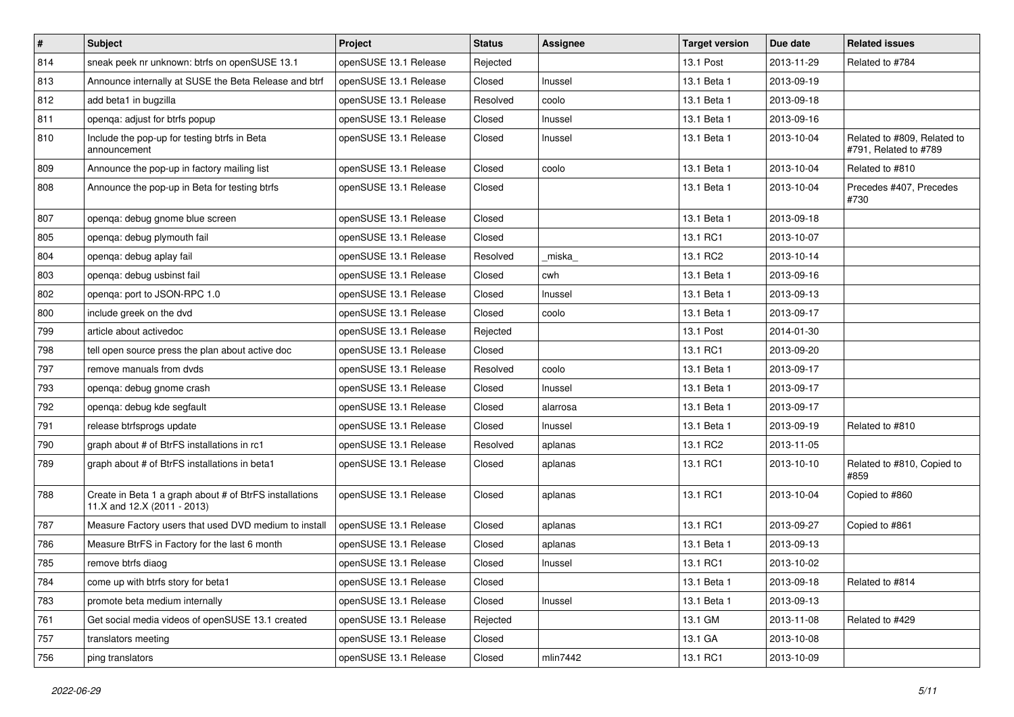| #   | <b>Subject</b>                                                                         | Project               | <b>Status</b> | <b>Assignee</b> | <b>Target version</b> | Due date   | <b>Related issues</b>                                |
|-----|----------------------------------------------------------------------------------------|-----------------------|---------------|-----------------|-----------------------|------------|------------------------------------------------------|
| 814 | sneak peek nr unknown: btrfs on openSUSE 13.1                                          | openSUSE 13.1 Release | Rejected      |                 | 13.1 Post             | 2013-11-29 | Related to #784                                      |
| 813 | Announce internally at SUSE the Beta Release and btrf                                  | openSUSE 13.1 Release | Closed        | Inussel         | 13.1 Beta 1           | 2013-09-19 |                                                      |
| 812 | add beta1 in bugzilla                                                                  | openSUSE 13.1 Release | Resolved      | coolo           | 13.1 Beta 1           | 2013-09-18 |                                                      |
| 811 | openqa: adjust for btrfs popup                                                         | openSUSE 13.1 Release | Closed        | Inussel         | 13.1 Beta 1           | 2013-09-16 |                                                      |
| 810 | Include the pop-up for testing btrfs in Beta<br>announcement                           | openSUSE 13.1 Release | Closed        | Inussel         | 13.1 Beta 1           | 2013-10-04 | Related to #809, Related to<br>#791, Related to #789 |
| 809 | Announce the pop-up in factory mailing list                                            | openSUSE 13.1 Release | Closed        | coolo           | 13.1 Beta 1           | 2013-10-04 | Related to #810                                      |
| 808 | Announce the pop-up in Beta for testing btrfs                                          | openSUSE 13.1 Release | Closed        |                 | 13.1 Beta 1           | 2013-10-04 | Precedes #407, Precedes<br>#730                      |
| 807 | openqa: debug gnome blue screen                                                        | openSUSE 13.1 Release | Closed        |                 | 13.1 Beta 1           | 2013-09-18 |                                                      |
| 805 | openqa: debug plymouth fail                                                            | openSUSE 13.1 Release | Closed        |                 | 13.1 RC1              | 2013-10-07 |                                                      |
| 804 | openqa: debug aplay fail                                                               | openSUSE 13.1 Release | Resolved      | miska           | 13.1 RC2              | 2013-10-14 |                                                      |
| 803 | openga: debug usbinst fail                                                             | openSUSE 13.1 Release | Closed        | cwh             | 13.1 Beta 1           | 2013-09-16 |                                                      |
| 802 | openga: port to JSON-RPC 1.0                                                           | openSUSE 13.1 Release | Closed        | Inussel         | 13.1 Beta 1           | 2013-09-13 |                                                      |
| 800 | include greek on the dvd                                                               | openSUSE 13.1 Release | Closed        | coolo           | 13.1 Beta 1           | 2013-09-17 |                                                      |
| 799 | article about activedoc                                                                | openSUSE 13.1 Release | Rejected      |                 | 13.1 Post             | 2014-01-30 |                                                      |
| 798 | tell open source press the plan about active doc                                       | openSUSE 13.1 Release | Closed        |                 | 13.1 RC1              | 2013-09-20 |                                                      |
| 797 | remove manuals from dvds                                                               | openSUSE 13.1 Release | Resolved      | coolo           | 13.1 Beta 1           | 2013-09-17 |                                                      |
| 793 | openqa: debug gnome crash                                                              | openSUSE 13.1 Release | Closed        | Inussel         | 13.1 Beta 1           | 2013-09-17 |                                                      |
| 792 | openga: debug kde segfault                                                             | openSUSE 13.1 Release | Closed        | alarrosa        | 13.1 Beta 1           | 2013-09-17 |                                                      |
| 791 | release btrfsprogs update                                                              | openSUSE 13.1 Release | Closed        | Inussel         | 13.1 Beta 1           | 2013-09-19 | Related to #810                                      |
| 790 | graph about # of BtrFS installations in rc1                                            | openSUSE 13.1 Release | Resolved      | aplanas         | 13.1 RC2              | 2013-11-05 |                                                      |
| 789 | graph about # of BtrFS installations in beta1                                          | openSUSE 13.1 Release | Closed        | aplanas         | 13.1 RC1              | 2013-10-10 | Related to #810, Copied to<br>#859                   |
| 788 | Create in Beta 1 a graph about # of BtrFS installations<br>11.X and 12.X (2011 - 2013) | openSUSE 13.1 Release | Closed        | aplanas         | 13.1 RC1              | 2013-10-04 | Copied to #860                                       |
| 787 | Measure Factory users that used DVD medium to install                                  | openSUSE 13.1 Release | Closed        | aplanas         | 13.1 RC1              | 2013-09-27 | Copied to #861                                       |
| 786 | Measure BtrFS in Factory for the last 6 month                                          | openSUSE 13.1 Release | Closed        | aplanas         | 13.1 Beta 1           | 2013-09-13 |                                                      |
| 785 | remove btrfs diaog                                                                     | openSUSE 13.1 Release | Closed        | Inussel         | 13.1 RC1              | 2013-10-02 |                                                      |
| 784 | come up with btrfs story for beta1                                                     | openSUSE 13.1 Release | Closed        |                 | 13.1 Beta 1           | 2013-09-18 | Related to #814                                      |
| 783 | promote beta medium internally                                                         | openSUSE 13.1 Release | Closed        | Inussel         | 13.1 Beta 1           | 2013-09-13 |                                                      |
| 761 | Get social media videos of openSUSE 13.1 created                                       | openSUSE 13.1 Release | Rejected      |                 | 13.1 GM               | 2013-11-08 | Related to #429                                      |
| 757 | translators meeting                                                                    | openSUSE 13.1 Release | Closed        |                 | 13.1 GA               | 2013-10-08 |                                                      |
| 756 | ping translators                                                                       | openSUSE 13.1 Release | Closed        | mlin7442        | 13.1 RC1              | 2013-10-09 |                                                      |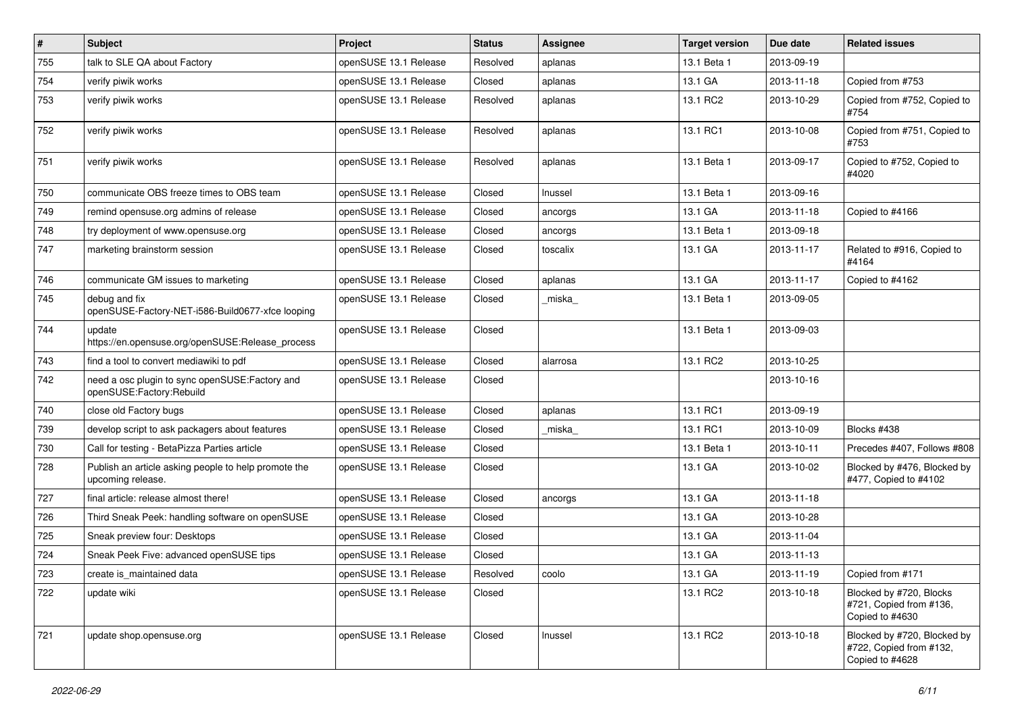| #   | Subject                                                                    | Project               | <b>Status</b> | Assignee | Target version | Due date   | <b>Related issues</b>                                                     |
|-----|----------------------------------------------------------------------------|-----------------------|---------------|----------|----------------|------------|---------------------------------------------------------------------------|
| 755 | talk to SLE QA about Factory                                               | openSUSE 13.1 Release | Resolved      | aplanas  | 13.1 Beta 1    | 2013-09-19 |                                                                           |
| 754 | verify piwik works                                                         | openSUSE 13.1 Release | Closed        | aplanas  | 13.1 GA        | 2013-11-18 | Copied from #753                                                          |
| 753 | verify piwik works                                                         | openSUSE 13.1 Release | Resolved      | aplanas  | 13.1 RC2       | 2013-10-29 | Copied from #752, Copied to<br>#754                                       |
| 752 | verify piwik works                                                         | openSUSE 13.1 Release | Resolved      | aplanas  | 13.1 RC1       | 2013-10-08 | Copied from #751, Copied to<br>#753                                       |
| 751 | verify piwik works                                                         | openSUSE 13.1 Release | Resolved      | aplanas  | 13.1 Beta 1    | 2013-09-17 | Copied to #752, Copied to<br>#4020                                        |
| 750 | communicate OBS freeze times to OBS team                                   | openSUSE 13.1 Release | Closed        | Inussel  | 13.1 Beta 1    | 2013-09-16 |                                                                           |
| 749 | remind opensuse.org admins of release                                      | openSUSE 13.1 Release | Closed        | ancorgs  | 13.1 GA        | 2013-11-18 | Copied to #4166                                                           |
| 748 | try deployment of www.opensuse.org                                         | openSUSE 13.1 Release | Closed        | ancorgs  | 13.1 Beta 1    | 2013-09-18 |                                                                           |
| 747 | marketing brainstorm session                                               | openSUSE 13.1 Release | Closed        | toscalix | 13.1 GA        | 2013-11-17 | Related to #916, Copied to<br>#4164                                       |
| 746 | communicate GM issues to marketing                                         | openSUSE 13.1 Release | Closed        | aplanas  | 13.1 GA        | 2013-11-17 | Copied to #4162                                                           |
| 745 | debug and fix<br>openSUSE-Factory-NET-i586-Build0677-xfce looping          | openSUSE 13.1 Release | Closed        | _miska_  | 13.1 Beta 1    | 2013-09-05 |                                                                           |
| 744 | update<br>https://en.opensuse.org/openSUSE:Release process                 | openSUSE 13.1 Release | Closed        |          | 13.1 Beta 1    | 2013-09-03 |                                                                           |
| 743 | find a tool to convert mediawiki to pdf                                    | openSUSE 13.1 Release | Closed        | alarrosa | 13.1 RC2       | 2013-10-25 |                                                                           |
| 742 | need a osc plugin to sync openSUSE:Factory and<br>openSUSE:Factory:Rebuild | openSUSE 13.1 Release | Closed        |          |                | 2013-10-16 |                                                                           |
| 740 | close old Factory bugs                                                     | openSUSE 13.1 Release | Closed        | aplanas  | 13.1 RC1       | 2013-09-19 |                                                                           |
| 739 | develop script to ask packagers about features                             | openSUSE 13.1 Release | Closed        | miska    | 13.1 RC1       | 2013-10-09 | Blocks #438                                                               |
| 730 | Call for testing - BetaPizza Parties article                               | openSUSE 13.1 Release | Closed        |          | 13.1 Beta 1    | 2013-10-11 | Precedes #407, Follows #808                                               |
| 728 | Publish an article asking people to help promote the<br>upcoming release.  | openSUSE 13.1 Release | Closed        |          | 13.1 GA        | 2013-10-02 | Blocked by #476, Blocked by<br>#477, Copied to #4102                      |
| 727 | final article: release almost there!                                       | openSUSE 13.1 Release | Closed        | ancorgs  | 13.1 GA        | 2013-11-18 |                                                                           |
| 726 | Third Sneak Peek: handling software on openSUSE                            | openSUSE 13.1 Release | Closed        |          | 13.1 GA        | 2013-10-28 |                                                                           |
| 725 | Sneak preview four: Desktops                                               | openSUSE 13.1 Release | Closed        |          | 13.1 GA        | 2013-11-04 |                                                                           |
| 724 | Sneak Peek Five: advanced openSUSE tips                                    | openSUSE 13.1 Release | Closed        |          | 13.1 GA        | 2013-11-13 |                                                                           |
| 723 | create is_maintained data                                                  | openSUSE 13.1 Release | Resolved      | coolo    | 13.1 GA        | 2013-11-19 | Copied from #171                                                          |
| 722 | update wiki                                                                | openSUSE 13.1 Release | Closed        |          | 13.1 RC2       | 2013-10-18 | Blocked by #720, Blocks<br>#721, Copied from #136,<br>Copied to #4630     |
| 721 | update shop.opensuse.org                                                   | openSUSE 13.1 Release | Closed        | Inussel  | 13.1 RC2       | 2013-10-18 | Blocked by #720, Blocked by<br>#722, Copied from #132,<br>Copied to #4628 |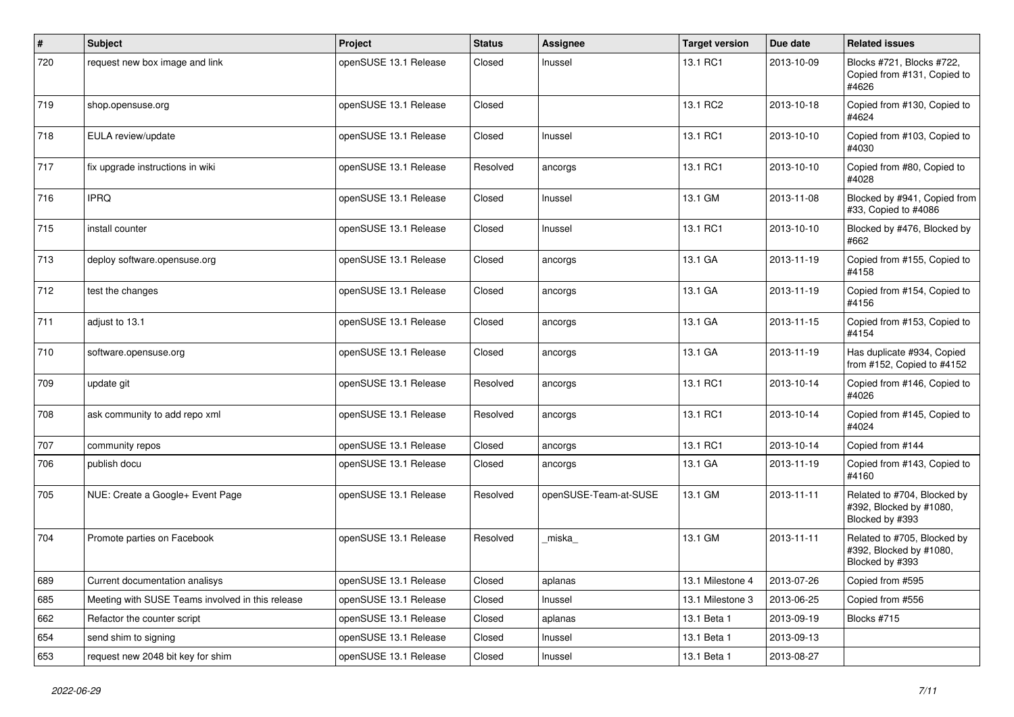| $\pmb{\#}$ | <b>Subject</b>                                   | Project               | <b>Status</b> | Assignee              | <b>Target version</b> | Due date   | <b>Related issues</b>                                                     |
|------------|--------------------------------------------------|-----------------------|---------------|-----------------------|-----------------------|------------|---------------------------------------------------------------------------|
| 720        | request new box image and link                   | openSUSE 13.1 Release | Closed        | Inussel               | 13.1 RC1              | 2013-10-09 | Blocks #721, Blocks #722,<br>Copied from #131, Copied to<br>#4626         |
| 719        | shop.opensuse.org                                | openSUSE 13.1 Release | Closed        |                       | 13.1 RC2              | 2013-10-18 | Copied from #130, Copied to<br>#4624                                      |
| 718        | EULA review/update                               | openSUSE 13.1 Release | Closed        | Inussel               | 13.1 RC1              | 2013-10-10 | Copied from #103, Copied to<br>#4030                                      |
| 717        | fix upgrade instructions in wiki                 | openSUSE 13.1 Release | Resolved      | ancorgs               | 13.1 RC1              | 2013-10-10 | Copied from #80, Copied to<br>#4028                                       |
| 716        | <b>IPRQ</b>                                      | openSUSE 13.1 Release | Closed        | Inussel               | 13.1 GM               | 2013-11-08 | Blocked by #941, Copied from<br>#33, Copied to #4086                      |
| 715        | install counter                                  | openSUSE 13.1 Release | Closed        | Inussel               | 13.1 RC1              | 2013-10-10 | Blocked by #476, Blocked by<br>#662                                       |
| 713        | deploy software.opensuse.org                     | openSUSE 13.1 Release | Closed        | ancorgs               | 13.1 GA               | 2013-11-19 | Copied from #155, Copied to<br>#4158                                      |
| 712        | test the changes                                 | openSUSE 13.1 Release | Closed        | ancorgs               | 13.1 GA               | 2013-11-19 | Copied from #154, Copied to<br>#4156                                      |
| 711        | adjust to 13.1                                   | openSUSE 13.1 Release | Closed        | ancorgs               | 13.1 GA               | 2013-11-15 | Copied from #153, Copied to<br>#4154                                      |
| 710        | software.opensuse.org                            | openSUSE 13.1 Release | Closed        | ancorgs               | 13.1 GA               | 2013-11-19 | Has duplicate #934, Copied<br>from #152, Copied to #4152                  |
| 709        | update git                                       | openSUSE 13.1 Release | Resolved      | ancorgs               | 13.1 RC1              | 2013-10-14 | Copied from #146, Copied to<br>#4026                                      |
| 708        | ask community to add repo xml                    | openSUSE 13.1 Release | Resolved      | ancorgs               | 13.1 RC1              | 2013-10-14 | Copied from #145, Copied to<br>#4024                                      |
| 707        | community repos                                  | openSUSE 13.1 Release | Closed        | ancorgs               | 13.1 RC1              | 2013-10-14 | Copied from #144                                                          |
| 706        | publish docu                                     | openSUSE 13.1 Release | Closed        | ancorgs               | 13.1 GA               | 2013-11-19 | Copied from #143, Copied to<br>#4160                                      |
| 705        | NUE: Create a Google+ Event Page                 | openSUSE 13.1 Release | Resolved      | openSUSE-Team-at-SUSE | 13.1 GM               | 2013-11-11 | Related to #704, Blocked by<br>#392, Blocked by #1080,<br>Blocked by #393 |
| 704        | Promote parties on Facebook                      | openSUSE 13.1 Release | Resolved      | miska                 | 13.1 GM               | 2013-11-11 | Related to #705, Blocked by<br>#392, Blocked by #1080,<br>Blocked by #393 |
| 689        | Current documentation analisys                   | openSUSE 13.1 Release | Closed        | aplanas               | 13.1 Milestone 4      | 2013-07-26 | Copied from #595                                                          |
| 685        | Meeting with SUSE Teams involved in this release | openSUSE 13.1 Release | Closed        | Inussel               | 13.1 Milestone 3      | 2013-06-25 | Copied from #556                                                          |
| 662        | Refactor the counter script                      | openSUSE 13.1 Release | Closed        | aplanas               | 13.1 Beta 1           | 2013-09-19 | Blocks #715                                                               |
| 654        | send shim to signing                             | openSUSE 13.1 Release | Closed        | Inussel               | 13.1 Beta 1           | 2013-09-13 |                                                                           |
| 653        | request new 2048 bit key for shim                | openSUSE 13.1 Release | Closed        | Inussel               | 13.1 Beta 1           | 2013-08-27 |                                                                           |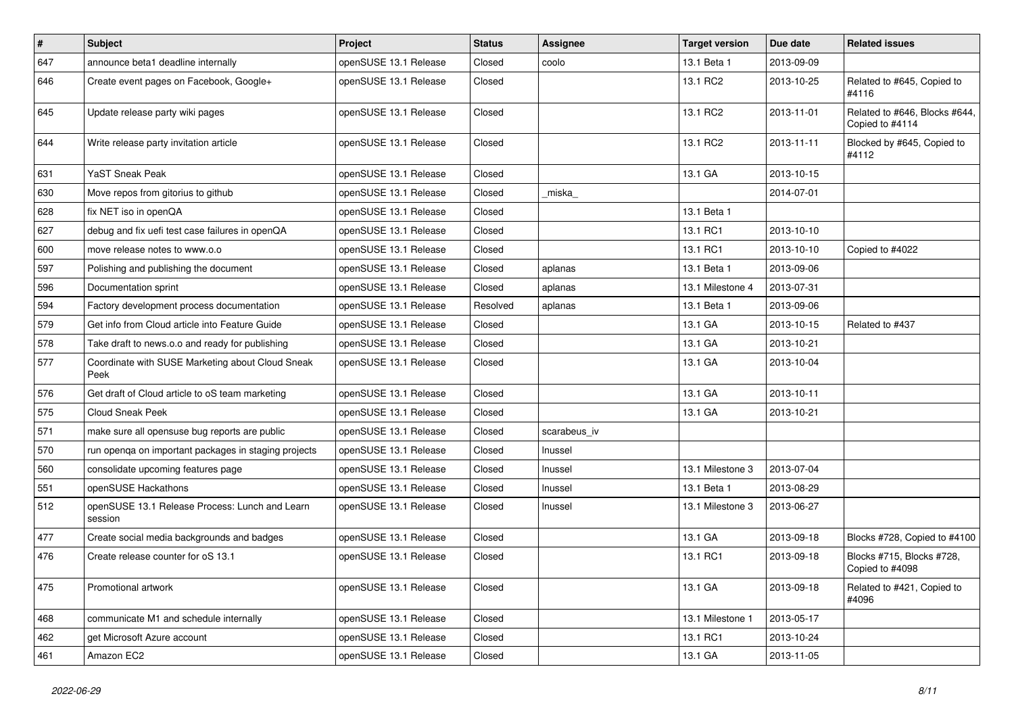| $\vert$ # | <b>Subject</b>                                            | Project               | <b>Status</b> | Assignee     | <b>Target version</b> | Due date   | <b>Related issues</b>                            |
|-----------|-----------------------------------------------------------|-----------------------|---------------|--------------|-----------------------|------------|--------------------------------------------------|
| 647       | announce beta1 deadline internally                        | openSUSE 13.1 Release | Closed        | coolo        | 13.1 Beta 1           | 2013-09-09 |                                                  |
| 646       | Create event pages on Facebook, Google+                   | openSUSE 13.1 Release | Closed        |              | 13.1 RC2              | 2013-10-25 | Related to #645, Copied to<br>#4116              |
| 645       | Update release party wiki pages                           | openSUSE 13.1 Release | Closed        |              | 13.1 RC2              | 2013-11-01 | Related to #646, Blocks #644,<br>Copied to #4114 |
| 644       | Write release party invitation article                    | openSUSE 13.1 Release | Closed        |              | 13.1 RC2              | 2013-11-11 | Blocked by #645, Copied to<br>#4112              |
| 631       | YaST Sneak Peak                                           | openSUSE 13.1 Release | Closed        |              | 13.1 GA               | 2013-10-15 |                                                  |
| 630       | Move repos from gitorius to github                        | openSUSE 13.1 Release | Closed        | miska        |                       | 2014-07-01 |                                                  |
| 628       | fix NET iso in openQA                                     | openSUSE 13.1 Release | Closed        |              | 13.1 Beta 1           |            |                                                  |
| 627       | debug and fix uefi test case failures in openQA           | openSUSE 13.1 Release | Closed        |              | 13.1 RC1              | 2013-10-10 |                                                  |
| 600       | move release notes to www.o.o                             | openSUSE 13.1 Release | Closed        |              | 13.1 RC1              | 2013-10-10 | Copied to #4022                                  |
| 597       | Polishing and publishing the document                     | openSUSE 13.1 Release | Closed        | aplanas      | 13.1 Beta 1           | 2013-09-06 |                                                  |
| 596       | Documentation sprint                                      | openSUSE 13.1 Release | Closed        | aplanas      | 13.1 Milestone 4      | 2013-07-31 |                                                  |
| 594       | Factory development process documentation                 | openSUSE 13.1 Release | Resolved      | aplanas      | 13.1 Beta 1           | 2013-09-06 |                                                  |
| 579       | Get info from Cloud article into Feature Guide            | openSUSE 13.1 Release | Closed        |              | 13.1 GA               | 2013-10-15 | Related to #437                                  |
| 578       | Take draft to news.o.o and ready for publishing           | openSUSE 13.1 Release | Closed        |              | 13.1 GA               | 2013-10-21 |                                                  |
| 577       | Coordinate with SUSE Marketing about Cloud Sneak<br>Peek  | openSUSE 13.1 Release | Closed        |              | 13.1 GA               | 2013-10-04 |                                                  |
| 576       | Get draft of Cloud article to oS team marketing           | openSUSE 13.1 Release | Closed        |              | 13.1 GA               | 2013-10-11 |                                                  |
| 575       | <b>Cloud Sneak Peek</b>                                   | openSUSE 13.1 Release | Closed        |              | 13.1 GA               | 2013-10-21 |                                                  |
| 571       | make sure all opensuse bug reports are public             | openSUSE 13.1 Release | Closed        | scarabeus_iv |                       |            |                                                  |
| 570       | run openqa on important packages in staging projects      | openSUSE 13.1 Release | Closed        | Inussel      |                       |            |                                                  |
| 560       | consolidate upcoming features page                        | openSUSE 13.1 Release | Closed        | Inussel      | 13.1 Milestone 3      | 2013-07-04 |                                                  |
| 551       | openSUSE Hackathons                                       | openSUSE 13.1 Release | Closed        | Inussel      | 13.1 Beta 1           | 2013-08-29 |                                                  |
| 512       | openSUSE 13.1 Release Process: Lunch and Learn<br>session | openSUSE 13.1 Release | Closed        | Inussel      | 13.1 Milestone 3      | 2013-06-27 |                                                  |
| 477       | Create social media backgrounds and badges                | openSUSE 13.1 Release | Closed        |              | 13.1 GA               | 2013-09-18 | Blocks #728, Copied to #4100                     |
| 476       | Create release counter for oS 13.1                        | openSUSE 13.1 Release | Closed        |              | 13.1 RC1              | 2013-09-18 | Blocks #715, Blocks #728,<br>Copied to #4098     |
| 475       | Promotional artwork                                       | openSUSE 13.1 Release | Closed        |              | 13.1 GA               | 2013-09-18 | Related to #421, Copied to<br>#4096              |
| 468       | communicate M1 and schedule internally                    | openSUSE 13.1 Release | Closed        |              | 13.1 Milestone 1      | 2013-05-17 |                                                  |
| 462       | get Microsoft Azure account                               | openSUSE 13.1 Release | Closed        |              | 13.1 RC1              | 2013-10-24 |                                                  |
| 461       | Amazon EC2                                                | openSUSE 13.1 Release | Closed        |              | 13.1 GA               | 2013-11-05 |                                                  |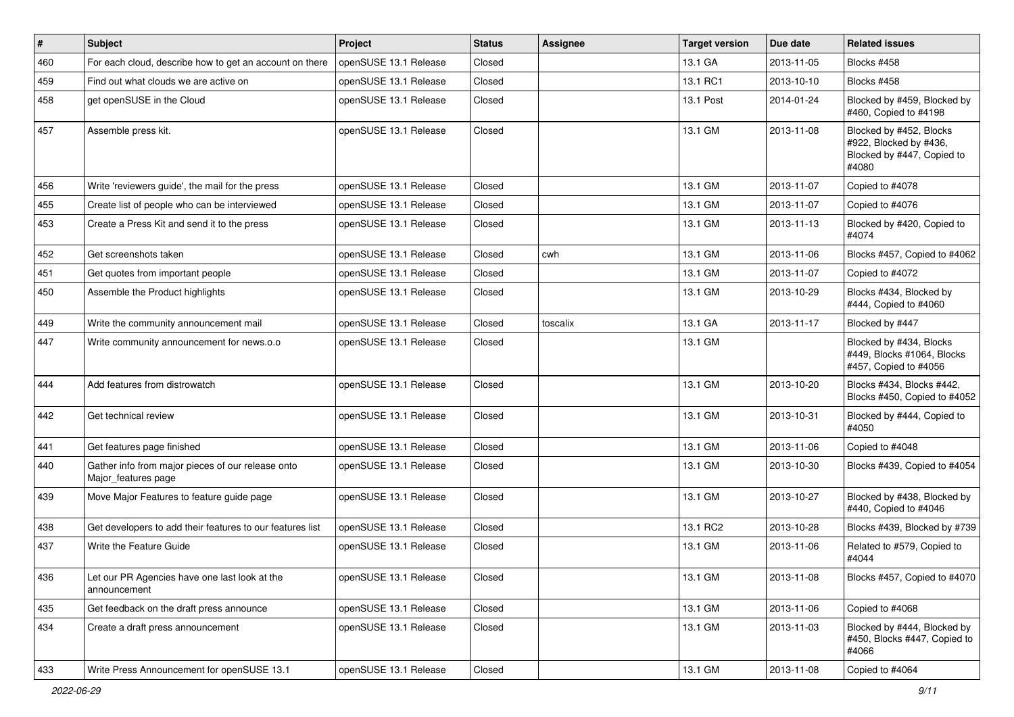| $\vert$ # | Subject                                                                  | Project               | <b>Status</b> | Assignee | Target version | Due date   | <b>Related issues</b>                                                                    |
|-----------|--------------------------------------------------------------------------|-----------------------|---------------|----------|----------------|------------|------------------------------------------------------------------------------------------|
| 460       | For each cloud, describe how to get an account on there                  | openSUSE 13.1 Release | Closed        |          | 13.1 GA        | 2013-11-05 | Blocks #458                                                                              |
| 459       | Find out what clouds we are active on                                    | openSUSE 13.1 Release | Closed        |          | 13.1 RC1       | 2013-10-10 | Blocks #458                                                                              |
| 458       | get openSUSE in the Cloud                                                | openSUSE 13.1 Release | Closed        |          | 13.1 Post      | 2014-01-24 | Blocked by #459, Blocked by<br>#460, Copied to #4198                                     |
| 457       | Assemble press kit.                                                      | openSUSE 13.1 Release | Closed        |          | 13.1 GM        | 2013-11-08 | Blocked by #452, Blocks<br>#922, Blocked by #436,<br>Blocked by #447, Copied to<br>#4080 |
| 456       | Write 'reviewers guide', the mail for the press                          | openSUSE 13.1 Release | Closed        |          | 13.1 GM        | 2013-11-07 | Copied to #4078                                                                          |
| 455       | Create list of people who can be interviewed                             | openSUSE 13.1 Release | Closed        |          | 13.1 GM        | 2013-11-07 | Copied to #4076                                                                          |
| 453       | Create a Press Kit and send it to the press                              | openSUSE 13.1 Release | Closed        |          | 13.1 GM        | 2013-11-13 | Blocked by #420, Copied to<br>#4074                                                      |
| 452       | Get screenshots taken                                                    | openSUSE 13.1 Release | Closed        | cwh      | 13.1 GM        | 2013-11-06 | Blocks #457, Copied to #4062                                                             |
| 451       | Get quotes from important people                                         | openSUSE 13.1 Release | Closed        |          | 13.1 GM        | 2013-11-07 | Copied to #4072                                                                          |
| 450       | Assemble the Product highlights                                          | openSUSE 13.1 Release | Closed        |          | 13.1 GM        | 2013-10-29 | Blocks #434, Blocked by<br>#444, Copied to #4060                                         |
| 449       | Write the community announcement mail                                    | openSUSE 13.1 Release | Closed        | toscalix | 13.1 GA        | 2013-11-17 | Blocked by #447                                                                          |
| 447       | Write community announcement for news.o.o                                | openSUSE 13.1 Release | Closed        |          | 13.1 GM        |            | Blocked by #434, Blocks<br>#449, Blocks #1064, Blocks<br>#457, Copied to #4056           |
| 444       | Add features from distrowatch                                            | openSUSE 13.1 Release | Closed        |          | 13.1 GM        | 2013-10-20 | Blocks #434, Blocks #442,<br>Blocks #450, Copied to #4052                                |
| 442       | Get technical review                                                     | openSUSE 13.1 Release | Closed        |          | 13.1 GM        | 2013-10-31 | Blocked by #444, Copied to<br>#4050                                                      |
| 441       | Get features page finished                                               | openSUSE 13.1 Release | Closed        |          | 13.1 GM        | 2013-11-06 | Copied to #4048                                                                          |
| 440       | Gather info from major pieces of our release onto<br>Major_features page | openSUSE 13.1 Release | Closed        |          | 13.1 GM        | 2013-10-30 | Blocks #439, Copied to #4054                                                             |
| 439       | Move Major Features to feature guide page                                | openSUSE 13.1 Release | Closed        |          | 13.1 GM        | 2013-10-27 | Blocked by #438, Blocked by<br>#440, Copied to #4046                                     |
| 438       | Get developers to add their features to our features list                | openSUSE 13.1 Release | Closed        |          | 13.1 RC2       | 2013-10-28 | Blocks #439, Blocked by #739                                                             |
| 437       | Write the Feature Guide                                                  | openSUSE 13.1 Release | Closed        |          | 13.1 GM        | 2013-11-06 | Related to #579, Copied to<br>#4044                                                      |
| 436       | Let our PR Agencies have one last look at the<br>announcement            | openSUSE 13.1 Release | Closed        |          | 13.1 GM        | 2013-11-08 | Blocks #457, Copied to #4070                                                             |
| 435       | Get feedback on the draft press announce                                 | openSUSE 13.1 Release | Closed        |          | 13.1 GM        | 2013-11-06 | Copied to #4068                                                                          |
| 434       | Create a draft press announcement                                        | openSUSE 13.1 Release | Closed        |          | 13.1 GM        | 2013-11-03 | Blocked by #444, Blocked by<br>#450, Blocks #447, Copied to<br>#4066                     |
| 433       | Write Press Announcement for openSUSE 13.1                               | openSUSE 13.1 Release | Closed        |          | 13.1 GM        | 2013-11-08 | Copied to #4064                                                                          |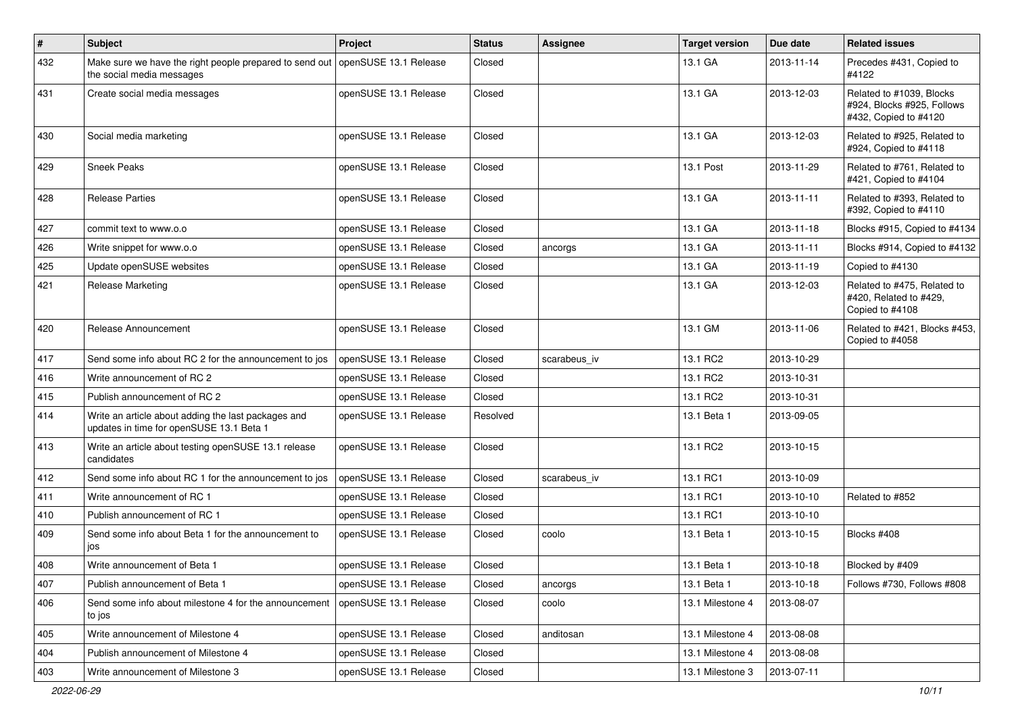| $\vert$ # | <b>Subject</b>                                                                                               | Project               | <b>Status</b> | Assignee     | <b>Target version</b> | Due date   | <b>Related issues</b>                                                           |
|-----------|--------------------------------------------------------------------------------------------------------------|-----------------------|---------------|--------------|-----------------------|------------|---------------------------------------------------------------------------------|
| 432       | Make sure we have the right people prepared to send out   openSUSE 13.1 Release<br>the social media messages |                       | Closed        |              | 13.1 GA               | 2013-11-14 | Precedes #431, Copied to<br>#4122                                               |
| 431       | Create social media messages                                                                                 | openSUSE 13.1 Release | Closed        |              | 13.1 GA               | 2013-12-03 | Related to #1039, Blocks<br>#924, Blocks #925, Follows<br>#432, Copied to #4120 |
| 430       | Social media marketing                                                                                       | openSUSE 13.1 Release | Closed        |              | 13.1 GA               | 2013-12-03 | Related to #925, Related to<br>#924, Copied to #4118                            |
| 429       | <b>Sneek Peaks</b>                                                                                           | openSUSE 13.1 Release | Closed        |              | 13.1 Post             | 2013-11-29 | Related to #761, Related to<br>#421, Copied to #4104                            |
| 428       | <b>Release Parties</b>                                                                                       | openSUSE 13.1 Release | Closed        |              | 13.1 GA               | 2013-11-11 | Related to #393, Related to<br>#392, Copied to #4110                            |
| 427       | commit text to www.o.o                                                                                       | openSUSE 13.1 Release | Closed        |              | 13.1 GA               | 2013-11-18 | Blocks #915, Copied to #4134                                                    |
| 426       | Write snippet for www.o.o                                                                                    | openSUSE 13.1 Release | Closed        | ancorgs      | 13.1 GA               | 2013-11-11 | Blocks #914, Copied to #4132                                                    |
| 425       | Update openSUSE websites                                                                                     | openSUSE 13.1 Release | Closed        |              | 13.1 GA               | 2013-11-19 | Copied to #4130                                                                 |
| 421       | <b>Release Marketing</b>                                                                                     | openSUSE 13.1 Release | Closed        |              | 13.1 GA               | 2013-12-03 | Related to #475, Related to<br>#420, Related to #429,<br>Copied to #4108        |
| 420       | Release Announcement                                                                                         | openSUSE 13.1 Release | Closed        |              | 13.1 GM               | 2013-11-06 | Related to #421, Blocks #453,<br>Copied to #4058                                |
| 417       | Send some info about RC 2 for the announcement to jos                                                        | openSUSE 13.1 Release | Closed        | scarabeus iv | 13.1 RC2              | 2013-10-29 |                                                                                 |
| 416       | Write announcement of RC 2                                                                                   | openSUSE 13.1 Release | Closed        |              | 13.1 RC2              | 2013-10-31 |                                                                                 |
| 415       | Publish announcement of RC 2                                                                                 | openSUSE 13.1 Release | Closed        |              | 13.1 RC2              | 2013-10-31 |                                                                                 |
| 414       | Write an article about adding the last packages and<br>updates in time for openSUSE 13.1 Beta 1              | openSUSE 13.1 Release | Resolved      |              | 13.1 Beta 1           | 2013-09-05 |                                                                                 |
| 413       | Write an article about testing openSUSE 13.1 release<br>candidates                                           | openSUSE 13.1 Release | Closed        |              | 13.1 RC2              | 2013-10-15 |                                                                                 |
| 412       | Send some info about RC 1 for the announcement to jos                                                        | openSUSE 13.1 Release | Closed        | scarabeus iv | 13.1 RC1              | 2013-10-09 |                                                                                 |
| 411       | Write announcement of RC 1                                                                                   | openSUSE 13.1 Release | Closed        |              | 13.1 RC1              | 2013-10-10 | Related to #852                                                                 |
| 410       | Publish announcement of RC 1                                                                                 | openSUSE 13.1 Release | Closed        |              | 13.1 RC1              | 2013-10-10 |                                                                                 |
| 409       | Send some info about Beta 1 for the announcement to<br>jos                                                   | openSUSE 13.1 Release | Closed        | coolo        | 13.1 Beta 1           | 2013-10-15 | Blocks #408                                                                     |
| 408       | Write announcement of Beta 1                                                                                 | openSUSE 13.1 Release | Closed        |              | 13.1 Beta 1           | 2013-10-18 | Blocked by #409                                                                 |
| 407       | Publish announcement of Beta 1                                                                               | openSUSE 13.1 Release | Closed        | ancorgs      | 13.1 Beta 1           | 2013-10-18 | Follows #730, Follows #808                                                      |
| 406       | Send some info about milestone 4 for the announcement<br>to jos                                              | openSUSE 13.1 Release | Closed        | coolo        | 13.1 Milestone 4      | 2013-08-07 |                                                                                 |
| 405       | Write announcement of Milestone 4                                                                            | openSUSE 13.1 Release | Closed        | anditosan    | 13.1 Milestone 4      | 2013-08-08 |                                                                                 |
| 404       | Publish announcement of Milestone 4                                                                          | openSUSE 13.1 Release | Closed        |              | 13.1 Milestone 4      | 2013-08-08 |                                                                                 |
| 403       | Write announcement of Milestone 3                                                                            | openSUSE 13.1 Release | Closed        |              | 13.1 Milestone 3      | 2013-07-11 |                                                                                 |